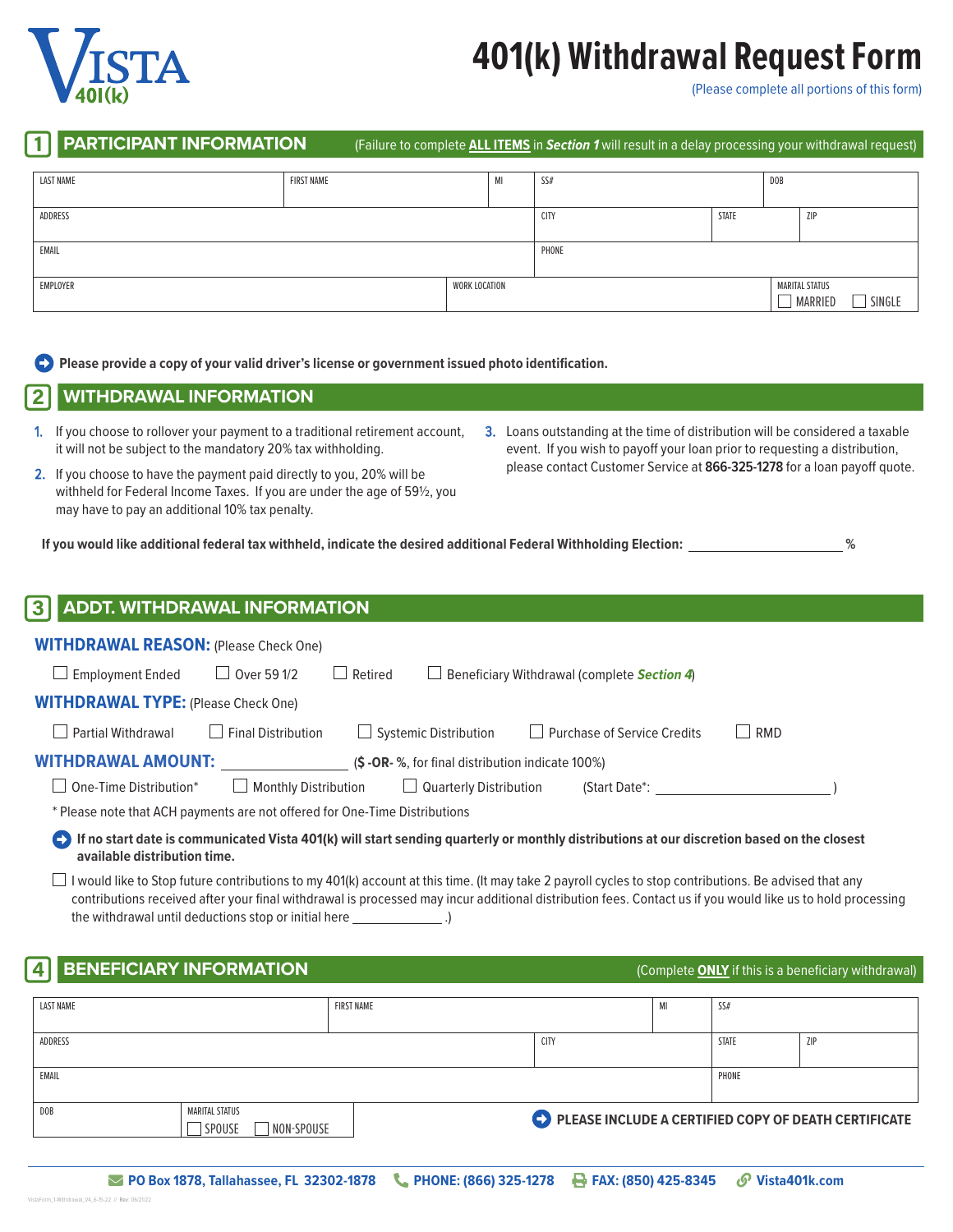

# **401(k) Withdrawal Request Form**

(Please complete all portions of this form)

1 **PARTICIPANT INFORMATION** (Failure to complete **ALL ITEMS** in *Section 1* will result in a delay processing your withdrawal request)

| <b>LAST NAME</b>          | <b>FIRST NAME</b> |  | MI                    | SS#         |       | <b>DOB</b> |                   |  |
|---------------------------|-------------------|--|-----------------------|-------------|-------|------------|-------------------|--|
|                           |                   |  |                       |             |       |            |                   |  |
| ADDRESS                   |                   |  |                       | <b>CITY</b> | STATE |            | <b>ZIP</b>        |  |
|                           |                   |  |                       |             |       |            |                   |  |
| EMAIL                     |                   |  |                       | PHONE       |       |            |                   |  |
|                           |                   |  |                       |             |       |            |                   |  |
| EMPLOYER<br>WORK LOCATION |                   |  | <b>MARITAL STATUS</b> |             |       |            |                   |  |
|                           |                   |  |                       |             |       |            | MARRIED<br>SINGLE |  |

**Please provide a copy of your valid driver's license or government issued photo identification.** 

2 **WITHDRAWAL INFORMATION**

- 1. If you choose to rollover your payment to a traditional retirement account, it will not be subject to the mandatory 20% tax withholding.
- 2. If you choose to have the payment paid directly to you, 20% will be withheld for Federal Income Taxes. If you are under the age of 59½, you may have to pay an additional 10% tax penalty.
- 3. Loans outstanding at the time of distribution will be considered a taxable event. If you wish to payoff your loan prior to requesting a distribution, please contact Customer Service at **866-325-1278** for a loan payoff quote.

| If you would like additional federal tax withheld, indicate the desired additional Federal Withholding Election: |
|------------------------------------------------------------------------------------------------------------------|
|------------------------------------------------------------------------------------------------------------------|

| <b>3 ADDT. WITHDRAWAL INFORMATION</b>                                      |                             |                |                               |                                                           |                       |  |  |
|----------------------------------------------------------------------------|-----------------------------|----------------|-------------------------------|-----------------------------------------------------------|-----------------------|--|--|
| <b>WITHDRAWAL REASON: (Please Check One)</b>                               |                             |                |                               |                                                           |                       |  |  |
| <b>Employment Ended</b>                                                    | $\Box$ Over 59 1/2          | $\Box$ Retired |                               | $\Box$ Beneficiary Withdrawal (complete <b>Section 4)</b> |                       |  |  |
| <b>WITHDRAWAL TYPE:</b> (Please Check One)                                 |                             |                |                               |                                                           |                       |  |  |
| <b>Partial Withdrawal</b>                                                  | <b>Final Distribution</b>   |                | $\Box$ Systemic Distribution  | $\Box$ Purchase of Service Credits                        | RMD<br>$\blacksquare$ |  |  |
| <b>WITHDRAWAL AMOUNT:</b>                                                  |                             |                |                               | $(S - OR - %, for final distribution indicate 100%)$      |                       |  |  |
| One-Time Distribution*                                                     | $\Box$ Monthly Distribution |                | $\Box$ Quarterly Distribution | (Start Date*:                                             |                       |  |  |
| * Please note that ACH payments are not offered for One-Time Distributions |                             |                |                               |                                                           |                       |  |  |

**If no start date is communicated Vista 401(k) will start sending quarterly or monthly distributions at our discretion based on the closest available distribution time.**

I would like to Stop future contributions to my 401(k) account at this time. (It may take 2 payroll cycles to stop contributions. Be advised that any contributions received after your final withdrawal is processed may incur additional distribution fees. Contact us if you would like us to hold processing the withdrawal until deductions stop or initial here \_\_\_\_\_\_\_\_\_\_\_\_\_\_\_.)

### **BENEFICIARY INFORMATION Example 2 and Secure 2 and Secure 2 and Secure 2 and Secure 2 and Secure 2 and Secure 2 and Secure 2 and Secure 2 and Secure 2 and Secure 2 and Secure 2 and Secure 2 and Secure 2 and Secure 2 and**

| LAST NAME       |                      | <b>FIRST NAME</b> |                                                      | SS#          |            |
|-----------------|----------------------|-------------------|------------------------------------------------------|--------------|------------|
|                 |                      |                   |                                                      |              |            |
| ADDRESS         |                      |                   | <b>CITY</b>                                          | <b>STATE</b> | <b>ZIP</b> |
|                 |                      |                   |                                                      |              |            |
| EMAIL           |                      |                   |                                                      | PHONE        |            |
|                 |                      |                   |                                                      |              |            |
| D <sub>OB</sub> | MARITAL STATUS       |                   |                                                      |              |            |
|                 | SPOUSE<br>NON-SPOUSE |                   | PLEASE INCLUDE A CERTIFIED COPY OF DEATH CERTIFICATE |              |            |